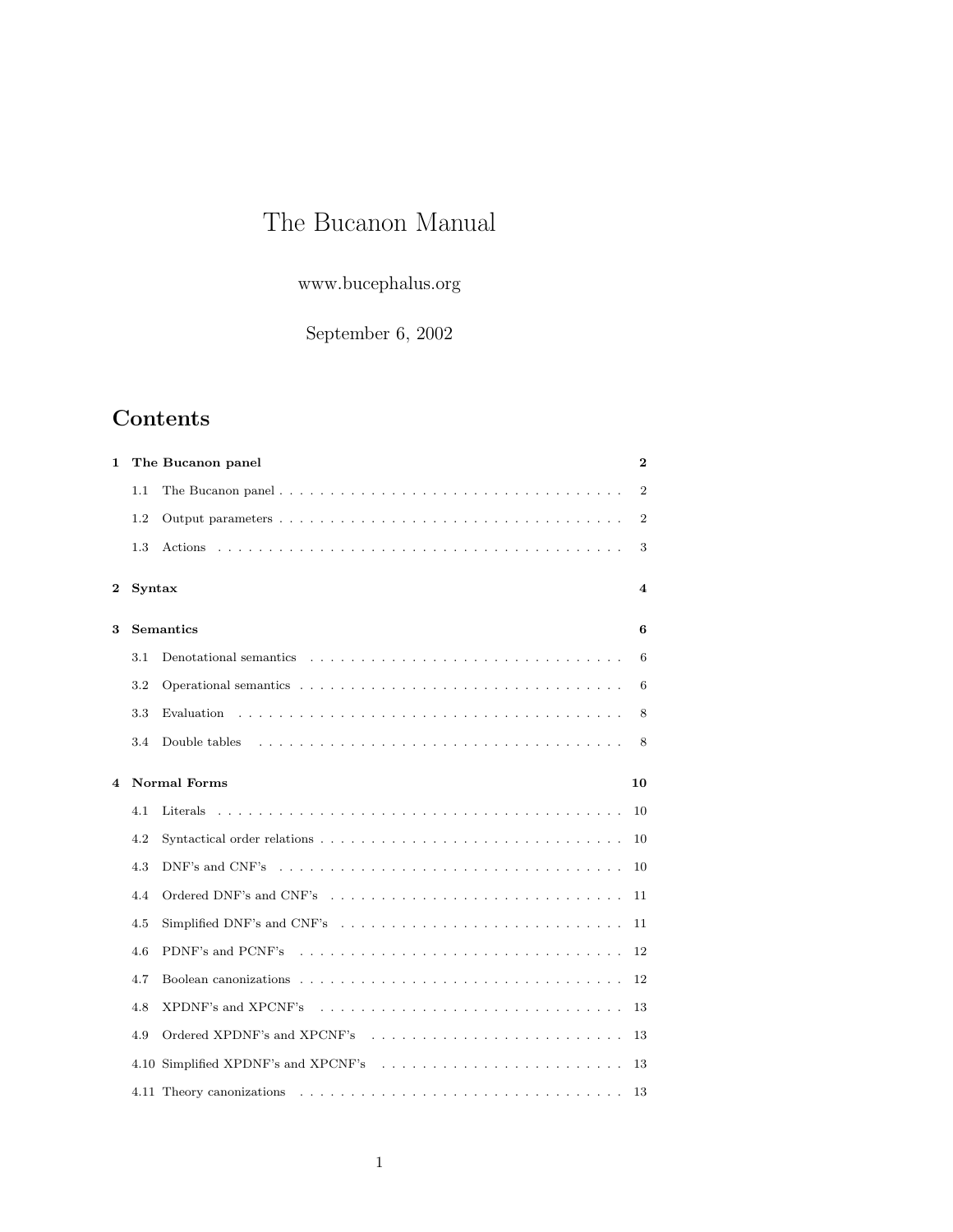# The Bucanon Manual

www.bucephalus.org

September 6, 2002

# Contents

| 1 |        | The Bucanon panel                                                                                                                               | $\bf{2}$                |
|---|--------|-------------------------------------------------------------------------------------------------------------------------------------------------|-------------------------|
|   | 1.1    |                                                                                                                                                 | $\overline{2}$          |
|   | 1.2    |                                                                                                                                                 | $\overline{2}$          |
|   | 1.3    |                                                                                                                                                 | 3                       |
| 2 | Syntax |                                                                                                                                                 | $\overline{\mathbf{4}}$ |
| 3 |        | <b>Semantics</b>                                                                                                                                | 6                       |
|   | 3.1    | Denotational semantics $\ldots$ , $\ldots$ , $\ldots$ , $\ldots$ , $\ldots$ , $\ldots$ , $\ldots$ , $\ldots$ , $\ldots$ , $\ldots$              | 6                       |
|   | 3.2    |                                                                                                                                                 | 6                       |
|   | 3.3    |                                                                                                                                                 | 8                       |
|   | 3.4    | Double tables                                                                                                                                   | 8                       |
| 4 |        | <b>Normal Forms</b>                                                                                                                             | 10                      |
|   | 4.1    |                                                                                                                                                 | 10                      |
|   | 4.2    |                                                                                                                                                 | 10                      |
|   | 4.3    | DNF's and CNF's $\dots$ , $\dots$ , $\dots$ , $\dots$ , $\dots$ , $\dots$ , $\dots$ , $\dots$ , $\dots$ , $\dots$ , $\dots$ , $\dots$ , $\dots$ | 10                      |
|   | 4.4    | Ordered DNF's and CNF's                                                                                                                         | 11                      |
|   | 4.5    | Simplified DNF's and CNF's                                                                                                                      | 11                      |
|   | 4.6    |                                                                                                                                                 | 12                      |
|   | 4.7    |                                                                                                                                                 | 12                      |
|   | 4.8    | XPDNF's and XPCNF's                                                                                                                             | 13                      |
|   | 4.9    | Ordered XPDNF's and XPCNF's interventional contract of the SPDNF's and XPCNF's intervention and all $\sim$                                      | 13                      |
|   |        | 4.10 Simplified XPDNF's and XPCNF's                                                                                                             | 13                      |
|   |        |                                                                                                                                                 | 13                      |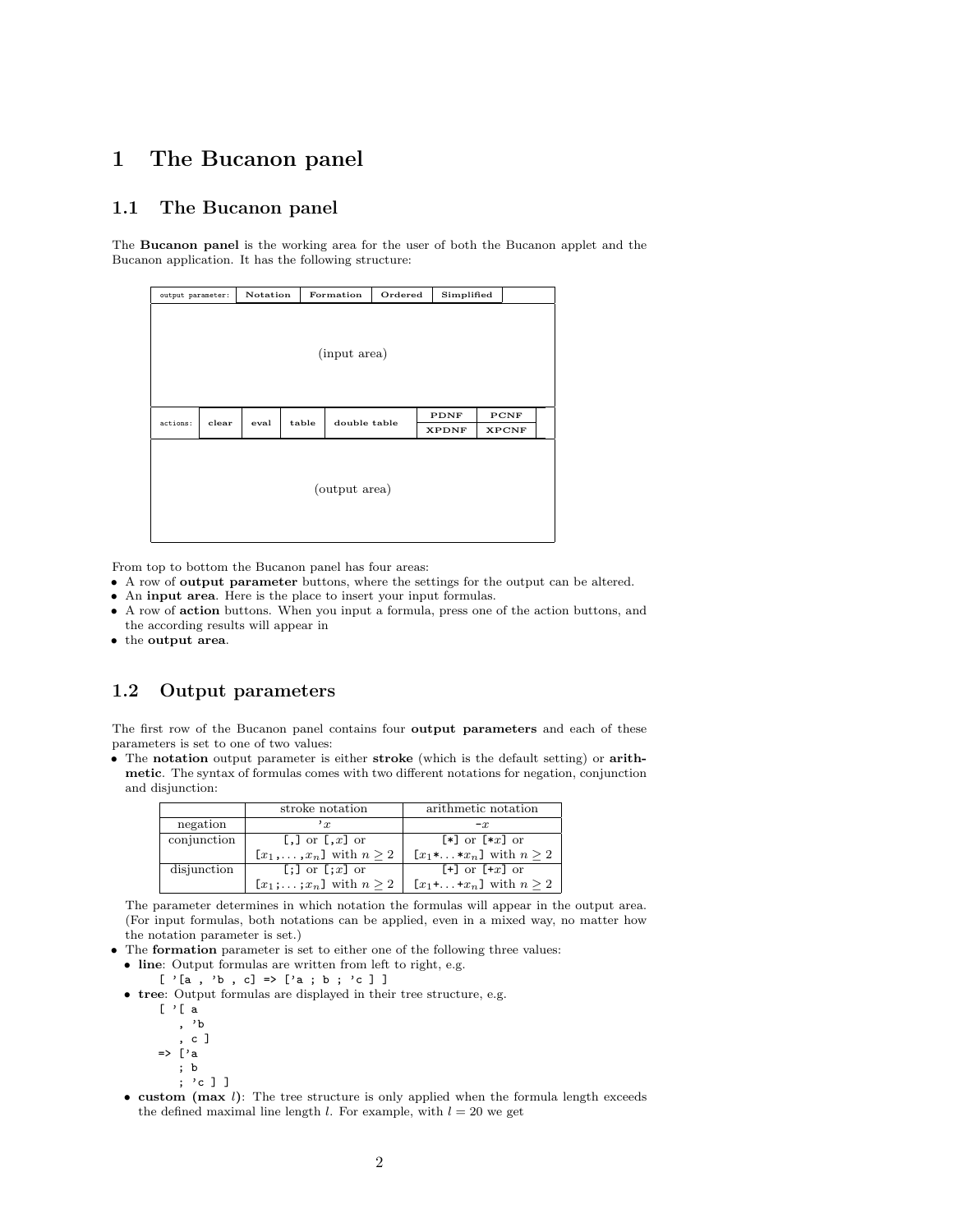## 1 The Bucanon panel

## 1.1 The Bucanon panel

The Bucanon panel is the working area for the user of both the Bucanon applet and the Bucanon application. It has the following structure:

| output parameter: |       | Notation |       | Formation     | Ordered | Simplified   |              |  |
|-------------------|-------|----------|-------|---------------|---------|--------------|--------------|--|
|                   |       |          |       | (input area)  |         |              |              |  |
| actions:          | clear | eval     | table | double table  |         | PDNF         | PCNF         |  |
|                   |       |          |       |               |         | <b>XPDNF</b> | <b>XPCNF</b> |  |
|                   |       |          |       | (output area) |         |              |              |  |

From top to bottom the Bucanon panel has four areas:

- A row of output parameter buttons, where the settings for the output can be altered.
- An input area. Here is the place to insert your input formulas.
- A row of action buttons. When you input a formula, press one of the action buttons, and the according results will appear in
- the output area.

### 1.2 Output parameters

The first row of the Bucanon panel contains four output parameters and each of these parameters is set to one of two values:

• The notation output parameter is either stroke (which is the default setting) or arithmetic. The syntax of formulas comes with two different notations for negation, conjunction and disjunction:

|             | stroke notation                                | arithmetic notation                        |
|-------------|------------------------------------------------|--------------------------------------------|
| negation    | $r_{x}$                                        | $-x$                                       |
| conjunction | $\lbrack , \rbrack$ or $\lbrack ,x \rbrack$ or | $[*]$ or $[*x]$ or                         |
|             | $[x_1,\ldots,x_n]$ with $n\geq 2$              | $[x_1*, \ldots *x_n]$ with $n \geq 2$      |
| disjunction | $[:]$ or $[:x]$ or                             | $\lceil + \rceil$ or $\lceil +x \rceil$ or |
|             | $[x_1;\ldots;x_n]$ with $n\geq 2$              | $[x_1 + \ldots + x_n]$ with $n \geq 2$     |

The parameter determines in which notation the formulas will appear in the output area. (For input formulas, both notations can be applied, even in a mixed way, no matter how the notation parameter is set.)

• The formation parameter is set to either one of the following three values:

- line: Output formulas are written from left to right, e.g.
	- $[ ' [a , 'b , c] =& [ 'a ; b ; 'c ] ]$
- tree: Output formulas are displayed in their tree structure, e.g.
	- $[$  '[ a
	- , 'b
	- , c ]
	- => ['a ; b
		- ; 'c ] ]
- custom (max  $l$ ): The tree structure is only applied when the formula length exceeds the defined maximal line length *l*. For example, with  $l = 20$  we get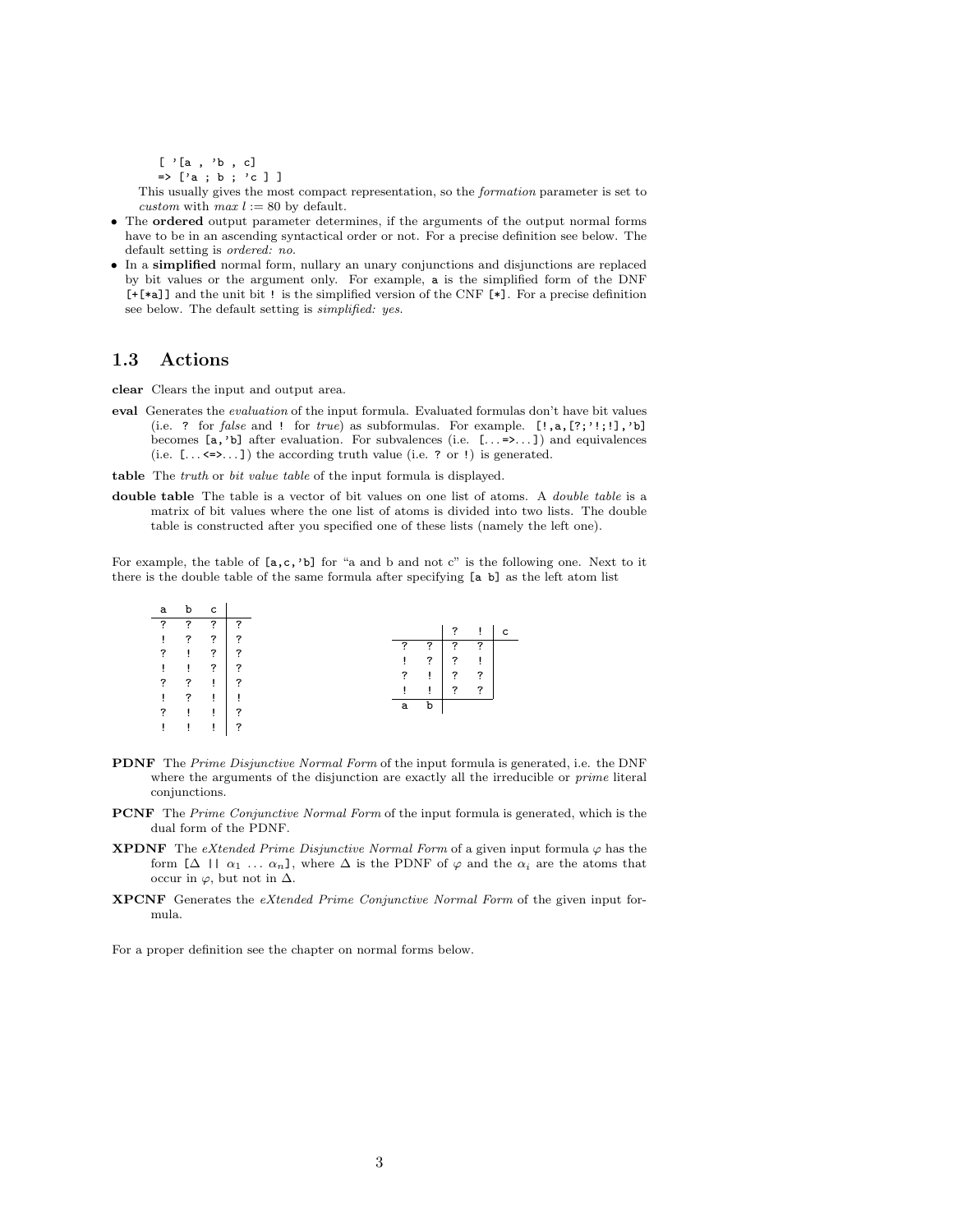[ '[a , 'b , c]

 $\Rightarrow$  ['a; b; 'c]]

This usually gives the most compact representation, so the formation parameter is set to custom with  $max l := 80$  by default.

- The ordered output parameter determines, if the arguments of the output normal forms have to be in an ascending syntactical order or not. For a precise definition see below. The default setting is ordered: no.
- In a simplified normal form, nullary an unary conjunctions and disjunctions are replaced by bit values or the argument only. For example, a is the simplified form of the DNF [+[\*a]] and the unit bit ! is the simplified version of the CNF [\*]. For a precise definition see below. The default setting is simplified: yes.

### 1.3 Actions

clear Clears the input and output area.

eval Generates the evaluation of the input formula. Evaluated formulas don't have bit values (i.e. ? for false and ! for true) as subformulas. For example.  $[?,a,[?;':;:],'b]$ becomes  $[a, 'b]$  after evaluation. For subvalences (i.e.  $[... = \infty, 1]$ ) and equivalences (i.e.  $[... \le \ge \dots]$ ) the according truth value (i.e. ? or !) is generated.

table The truth or bit value table of the input formula is displayed.

double table The table is a vector of bit values on one list of atoms. A *double table* is a matrix of bit values where the one list of atoms is divided into two lists. The double table is constructed after you specified one of these lists (namely the left one).

For example, the table of  $[a, c, 'b]$  for "a and b and not c" is the following one. Next to it there is the double table of the same formula after specifying [a b] as the left atom list

| a | b | c           |                |  |   |   |   |   |   |
|---|---|-------------|----------------|--|---|---|---|---|---|
| ? | ? | ?           | 7              |  |   |   | ? |   | C |
| Ţ | ? | $\tilde{?}$ | 7              |  |   |   |   |   |   |
|   |   |             |                |  | ? | ? | ? | 7 |   |
| ? | ì | $\tilde{?}$ | 7              |  |   |   |   |   |   |
| Ţ | ì | ?           | 7              |  | Ţ | ? | ? |   |   |
|   |   |             |                |  | ? | Ţ | ? | 7 |   |
| ? | ? | Ţ.          | ?              |  |   |   |   |   |   |
|   |   |             |                |  | ï | ï | ? | 2 |   |
| Ţ | ? | Ţ.          | $\blacksquare$ |  |   |   |   |   |   |
| ? | Ţ | Ţ.          | ?              |  | a | b |   |   |   |
|   |   |             |                |  |   |   |   |   |   |
|   |   | ı           | ?              |  |   |   |   |   |   |
|   |   |             |                |  |   |   |   |   |   |

- PDNF The Prime Disjunctive Normal Form of the input formula is generated, i.e. the DNF where the arguments of the disjunction are exactly all the irreducible or *prime* literal conjunctions.
- PCNF The Prime Conjunctive Normal Form of the input formula is generated, which is the dual form of the PDNF.
- **XPDNF** The eXtended Prime Disjunctive Normal Form of a given input formula  $\varphi$  has the form  $[\Delta \mid \alpha_1 \ldots \alpha_n]$ , where  $\Delta$  is the PDNF of  $\varphi$  and the  $\alpha_i$  are the atoms that occur in  $\varphi$ , but not in  $\Delta$ .
- XPCNF Generates the eXtended Prime Conjunctive Normal Form of the given input formula.

For a proper definition see the chapter on normal forms below.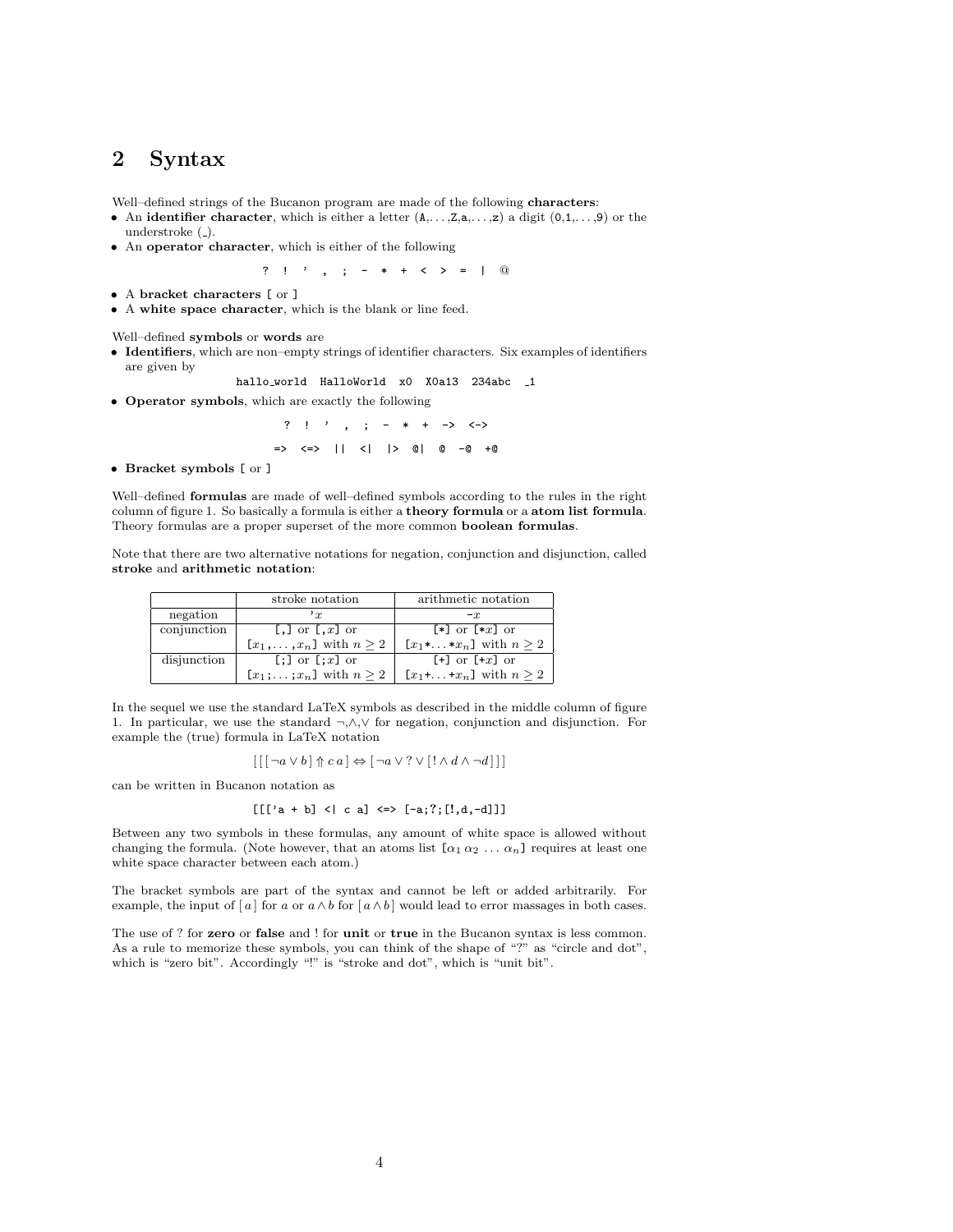## 2 Syntax

Well–defined strings of the Bucanon program are made of the following characters:

- An identifier character, which is either a letter  $(A_1, \ldots, Z, a, \ldots, z)$  a digit  $(0,1,\ldots, 9)$  or the understroke (\_).
- An operator character, which is either of the following

? ! ' , ; - \* + < > = | @

- A bracket characters [ or ]
- A white space character, which is the blank or line feed.

Well–defined symbols or words are

- Identifiers, which are non–empty strings of identifier characters. Six examples of identifiers are given by
- hallo\_world HalloWorld x0 X0a13 234abc \_1
- Operator symbols, which are exactly the following

? ! ' , ; - \* + -> <-> => <=> || <| |> @| @ -@ +@

• Bracket symbols [ or ]

Well–defined formulas are made of well–defined symbols according to the rules in the right column of figure 1. So basically a formula is either a theory formula or a atom list formula. Theory formulas are a proper superset of the more common boolean formulas.

Note that there are two alternative notations for negation, conjunction and disjunction, called stroke and arithmetic notation:

|             | stroke notation                   | arithmetic notation                        |
|-------------|-----------------------------------|--------------------------------------------|
| negation    | r                                 | $-x$                                       |
| conjunction | [,] or $\left[ ., \right]$ or     | $\lceil * \rceil$ or $\lceil *x \rceil$ or |
|             | $[x_1,\ldots,x_n]$ with $n\geq 2$ | $[x_1^*, \ldots^*x_n]$ with $n \geq 2$     |
| disjunction | $[:]$ or $[:x]$ or                | $\lceil + \rceil$ or $\lceil +x \rceil$ or |
|             | $[x_1;\ldots;x_n]$ with $n\geq 2$ | $[x_1 + \ldots + x_n]$ with $n \geq 2$     |

In the sequel we use the standard LaTeX symbols as described in the middle column of figure 1. In particular, we use the standard ¬,∧,∨ for negation, conjunction and disjunction. For example the (true) formula in LaTeX notation

$$
\left[\,\left[\,\left[\,\neg a \vee b\,\right]\Uparrow c\,a\,\right] \Leftrightarrow \left[\,\neg a \vee\,?\vee \left[\,\left.\right]\wedge d \wedge \neg d\,\right]\,\right]\,\right]
$$

can be written in Bucanon notation as

$$
[[['a + b] < | c a] <=> [-a; ?; [[', d, -d]]]
$$

Between any two symbols in these formulas, any amount of white space is allowed without changing the formula. (Note however, that an atoms list  $[\alpha_1 \alpha_2 \ldots \alpha_n]$  requires at least one white space character between each atom.)

The bracket symbols are part of the syntax and cannot be left or added arbitrarily. For example, the input of [a] for a or  $a \wedge b$  for  $[a \wedge b]$  would lead to error massages in both cases.

The use of ? for zero or false and ! for unit or true in the Bucanon syntax is less common. As a rule to memorize these symbols, you can think of the shape of "?" as "circle and dot", which is "zero bit". Accordingly "!" is "stroke and dot", which is "unit bit".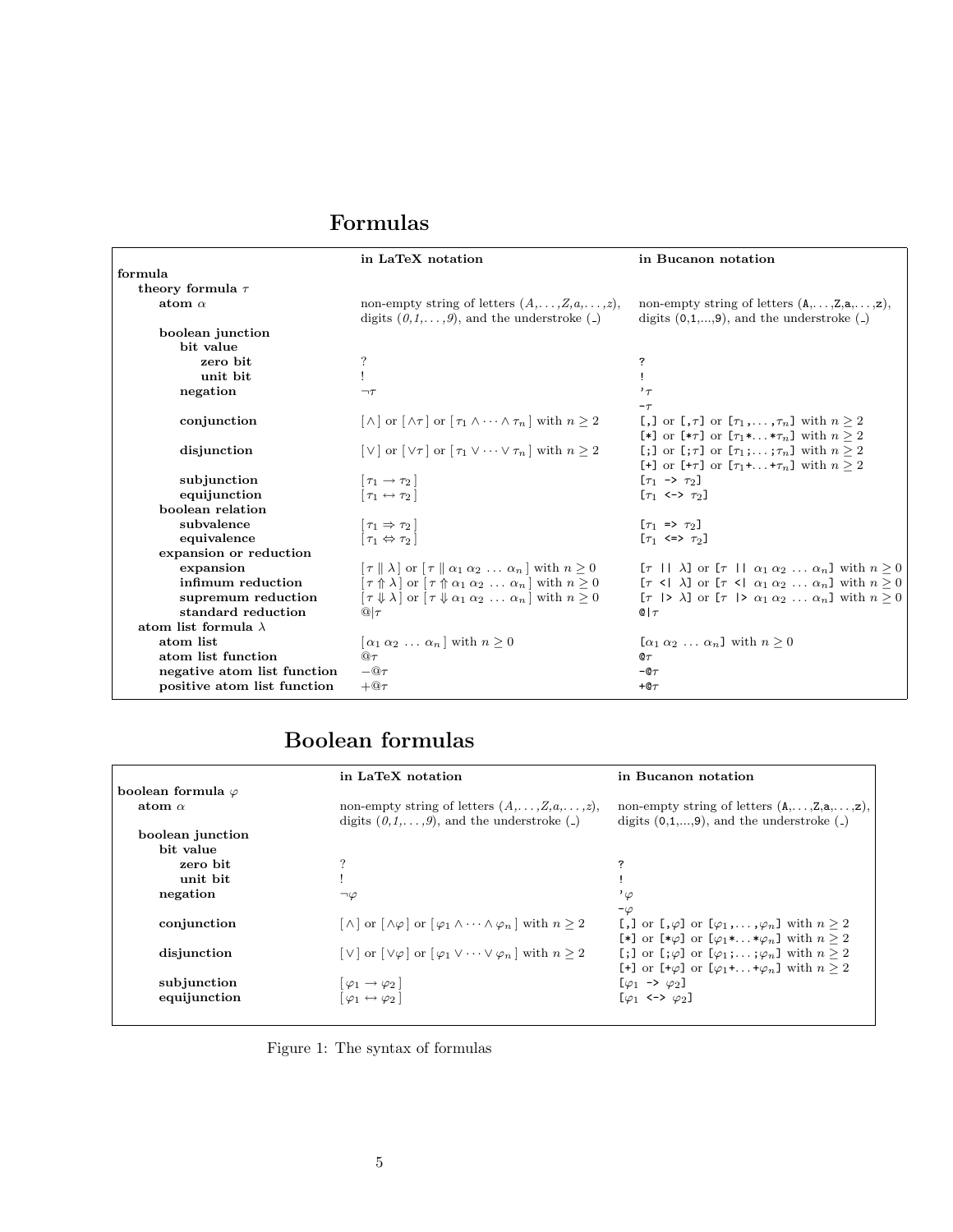# Formulas

|                             | in LaTeX notation                                                                                                                          | in Bucanon notation                                                                                                                |
|-----------------------------|--------------------------------------------------------------------------------------------------------------------------------------------|------------------------------------------------------------------------------------------------------------------------------------|
| formula                     |                                                                                                                                            |                                                                                                                                    |
| theory formula $\tau$       |                                                                                                                                            |                                                                                                                                    |
| atom $\alpha$               | non-empty string of letters $(A, \ldots, Z, a, \ldots, z),$<br>digits $(0,1,\ldots,9)$ , and the understroke (-)                           | non-empty string of letters $(A, \ldots, Z, a, \ldots, z)$ ,<br>digits $(0,1,,9)$ , and the understroke $($                        |
| boolean junction            |                                                                                                                                            |                                                                                                                                    |
| bit value                   |                                                                                                                                            |                                                                                                                                    |
| zero bit                    | ?                                                                                                                                          | ?                                                                                                                                  |
| unit bit                    |                                                                                                                                            |                                                                                                                                    |
| negation                    | $\neg \tau$                                                                                                                                | $,^{\prime}$                                                                                                                       |
|                             |                                                                                                                                            | $-\tau$                                                                                                                            |
| conjunction                 | $[\wedge]$ or $[\wedge \tau]$ or $[\tau_1 \wedge \cdots \wedge \tau_n]$ with $n \geq 2$                                                    | [,] or $[\tau]$ or $[\tau_1, \ldots, \tau_n]$ with $n \geq 2$<br>[*] or [* $\tau$ ] or [ $\tau_1$ ** $\tau_n$ ] with $n \geq 2$    |
| disjunction                 | $[\vee]$ or $[\vee \tau]$ or $[\tau_1 \vee \cdots \vee \tau_n]$ with $n \geq 2$                                                            | [;] or $[\tau, \tau]$ or $[\tau_1; \ldots; \tau_n]$ with $n \geq 2$<br>[+] or [+ $\tau$ ] or [ $\tau_1$ ++ $\tau_n$ ] with $n > 2$ |
| subjunction                 | $\lceil \tau_1 \rightarrow \tau_2 \rceil$                                                                                                  | $[\tau_1 \to \tau_2]$                                                                                                              |
| equijunction                | $\lceil \tau_1 \leftrightarrow \tau_2 \rceil$                                                                                              | $[\tau_1 \leftrightarrow \tau_2]$                                                                                                  |
| boolean relation            |                                                                                                                                            |                                                                                                                                    |
| subvalence                  | $\lceil \tau_1 \Rightarrow \tau_2 \rceil$                                                                                                  | $[\tau_1 \Rightarrow \tau_2]$                                                                                                      |
| equivalence                 | $[\tau_1 \Leftrightarrow \tau_2]$                                                                                                          | $[\tau_1 \iff \tau_2]$                                                                                                             |
| expansion or reduction      |                                                                                                                                            |                                                                                                                                    |
| expansion                   | $\lceil \tau \rceil \rceil \lambda$ or $\lceil \tau \rceil \rceil \alpha_1 \alpha_2 \ldots \alpha_n$ with $n > 0$                          | $[\tau \mid \mid \lambda]$ or $[\tau \mid \mid \alpha_1 \alpha_2 \ldots \alpha_n]$ with $n \geq 0$                                 |
| infimum reduction           | $\lceil \tau \uparrow \uparrow \lambda \rceil$ or $\lceil \tau \uparrow \uparrow \alpha_1 \alpha_2 \ldots \alpha_n \rceil$ with $n \geq 0$ | $[\tau \leq \lambda]$ or $[\tau \leq \alpha_1 \alpha_2 \ldots \alpha_n]$ with $n \geq 0$                                           |
| supremum reduction          | $[\tau \Downarrow \lambda]$ or $[\tau \Downarrow \alpha_1 \alpha_2 \dots \alpha_n]$ with $n \geq 0$                                        | $[\tau \mid > \lambda]$ or $[\tau \mid > \alpha_1 \alpha_2 \ldots \alpha_n]$ with $n > 0$                                          |
| standard reduction          | $@ _{\mathcal{T}}$                                                                                                                         | $Q \tau$                                                                                                                           |
| atom list formula $\lambda$ |                                                                                                                                            |                                                                                                                                    |
| atom list                   | $\lceil \alpha_1 \alpha_2 \ldots \alpha_n \rceil$ with $n \geq 0$                                                                          | $[\alpha_1 \alpha_2 \ldots \alpha_n]$ with $n \geq 0$                                                                              |
| atom list function          | $@ \tau$                                                                                                                                   | $\mathfrak{a}_\tau$                                                                                                                |
| negative atom list function | $-\mathbf{\Omega}\tau$                                                                                                                     | $-@T$                                                                                                                              |
| positive atom list function | $+@ \tau$                                                                                                                                  | $+@ \tau$                                                                                                                          |

# Boolean formulas

|                           | in LaTeX notation                                                                                                 | in Bucanon notation                                                                                         |
|---------------------------|-------------------------------------------------------------------------------------------------------------------|-------------------------------------------------------------------------------------------------------------|
| boolean formula $\varphi$ |                                                                                                                   |                                                                                                             |
| atom $\alpha$             | non-empty string of letters $(A, \ldots, Z, a, \ldots, z)$ ,<br>digits $(0,1,\ldots,9)$ , and the understroke (-) | non-empty string of letters $(A, \ldots, Z, a, \ldots, z)$ ,<br>digits $(0,1,,9)$ , and the understroke $($ |
| boolean junction          |                                                                                                                   |                                                                                                             |
| bit value                 |                                                                                                                   |                                                                                                             |
| zero bit                  |                                                                                                                   | ?                                                                                                           |
| unit bit                  |                                                                                                                   |                                                                                                             |
| negation                  | $\neg \varphi$                                                                                                    | $\cdot_{\varphi}$                                                                                           |
|                           |                                                                                                                   | $-\varphi$                                                                                                  |
| conjunction               | $[\wedge]$ or $[\wedge \varphi]$ or $[\varphi_1 \wedge \cdots \wedge \varphi_n]$ with $n \geq 2$                  | [,] or $\lbrack \varphi \rbrack$ or $\lbrack \varphi_1, \ldots, \varphi_n \rbrack$ with $n \geq 2$          |
|                           |                                                                                                                   | [*] or [* $\varphi$ ] or [ $\varphi_1$ ** $\varphi_n$ ] with $n \geq 2$                                     |
| disjunction               | $[\vee]$ or $[\vee \varphi]$ or $[\varphi_1 \vee \cdots \vee \varphi_n]$ with $n \geq 2$                          | [;] or $[\,\varphi]$ or $[\,\varphi_1\,;\ldots;\varphi_n]$ with $n \geq 2$                                  |
|                           |                                                                                                                   | [+] or $[+\varphi]$ or $[\varphi_1 + \ldots + \varphi_n]$ with $n \geq 2$                                   |
| subjunction               | $ \varphi_1 \rightarrow \varphi_2 $                                                                               | $[\varphi_1 \rightarrow \varphi_2]$                                                                         |
| equijunction              | $\lbrack \varphi_1 \leftrightarrow \varphi_2 \rbrack$                                                             | $[\varphi_1 \leftrightarrow \varphi_2]$                                                                     |
|                           |                                                                                                                   |                                                                                                             |

Figure 1: The syntax of formulas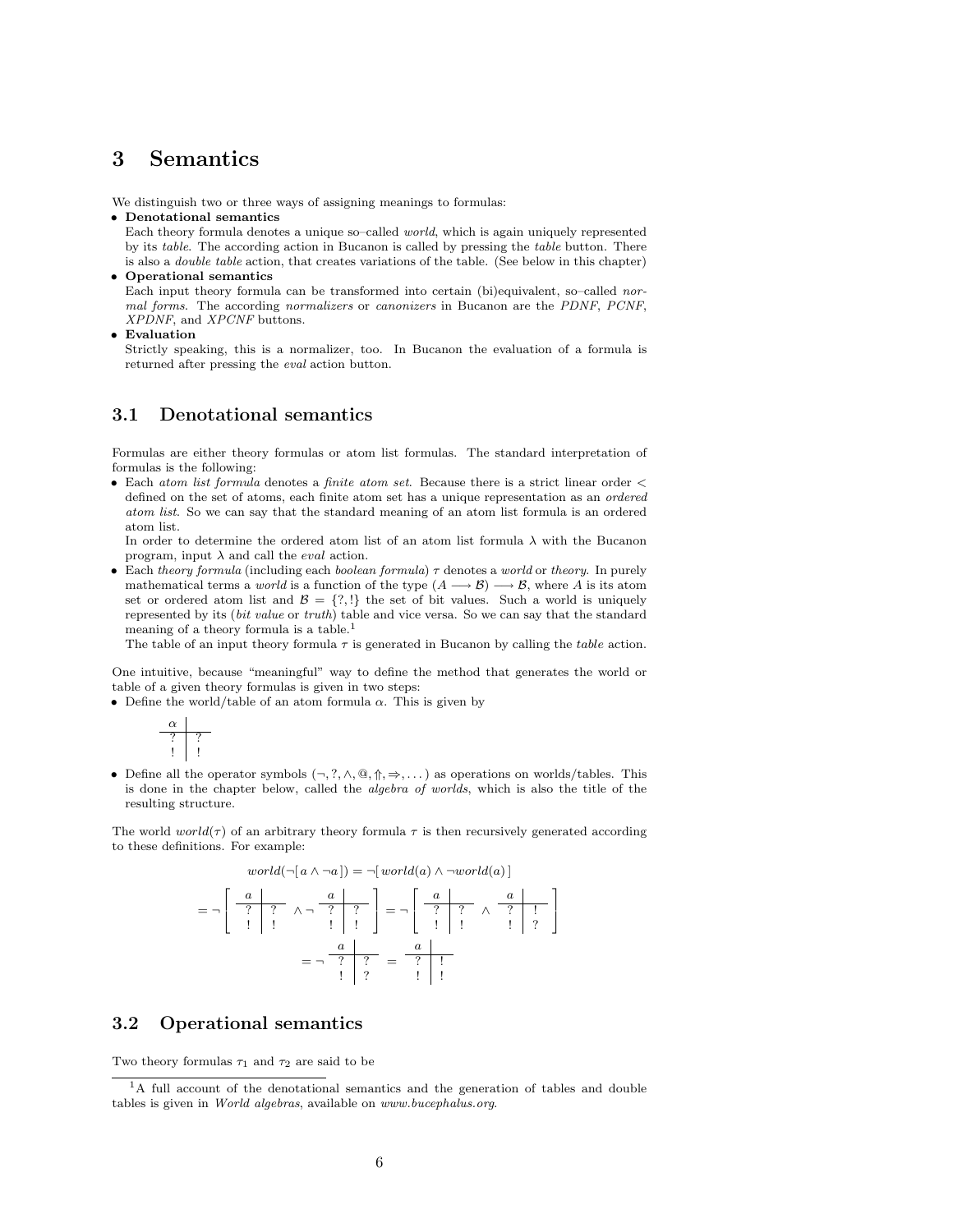## 3 Semantics

We distinguish two or three ways of assigning meanings to formulas:

• Denotational semantics

Each theory formula denotes a unique so–called world, which is again uniquely represented by its table. The according action in Bucanon is called by pressing the table button. There is also a double table action, that creates variations of the table. (See below in this chapter) • Operational semantics

Each input theory formula can be transformed into certain (bi)equivalent, so–called normal forms. The according normalizers or canonizers in Bucanon are the PDNF, PCNF, XPDNF, and XPCNF buttons.

• Evaluation

Strictly speaking, this is a normalizer, too. In Bucanon the evaluation of a formula is returned after pressing the eval action button.

## 3.1 Denotational semantics

Formulas are either theory formulas or atom list formulas. The standard interpretation of formulas is the following:

• Each atom list formula denotes a finite atom set. Because there is a strict linear order  $\lt$ defined on the set of atoms, each finite atom set has a unique representation as an ordered atom list. So we can say that the standard meaning of an atom list formula is an ordered atom list.

In order to determine the ordered atom list of an atom list formula  $\lambda$  with the Bucanon program, input  $\lambda$  and call the *eval* action.

• Each theory formula (including each boolean formula)  $\tau$  denotes a world or theory. In purely mathematical terms a world is a function of the type  $(A \rightarrow B) \rightarrow B$ , where A is its atom set or ordered atom list and  $\mathcal{B} = \{?, !\}$  the set of bit values. Such a world is uniquely represented by its (bit value or truth) table and vice versa. So we can say that the standard meaning of a theory formula is a table.<sup>1</sup>

The table of an input theory formula  $\tau$  is generated in Bucanon by calling the *table* action.

One intuitive, because "meaningful" way to define the method that generates the world or table of a given theory formulas is given in two steps:

• Define the world/table of an atom formula  $\alpha$ . This is given by



• Define all the operator symbols  $(\neg, ?, \wedge, @, \Uparrow, \Rightarrow, \dots)$  as operations on worlds/tables. This is done in the chapter below, called the algebra of worlds, which is also the title of the resulting structure.

The world world( $\tau$ ) of an arbitrary theory formula  $\tau$  is then recursively generated according to these definitions. For example:

$$
world(\neg[a \land \neg a]) = \neg[world(a) \land \neg world(a)]
$$
\n
$$
= \neg\left[\begin{array}{c|c}\n a & a & b \\
 \hline\n ? & ? & \land \neg \overline ? & ? \\
 1 & 1 & 1 & \end{array}\right] = \neg\left[\begin{array}{c|c}\n a & a & b \\
 \hline\n ? & ? & \land \overline ? & ? \\
 1 & 1 & 1 & \end{array}\right]
$$
\n
$$
= \neg\left[\begin{array}{c|c}\n a & a & b \\
 \hline\n ? & ? & ? \\
 1 & 1 & \end{array}\right]
$$
\n
$$
= \neg\left[\begin{array}{c|c}\n a & a & b \\
 \hline\n ? & ? & ? \\
 1 & 1 & \end{array}\right]
$$

## 3.2 Operational semantics

Two theory formulas  $\tau_1$  and  $\tau_2$  are said to be

<sup>&</sup>lt;sup>1</sup>A full account of the denotational semantics and the generation of tables and double tables is given in World algebras, available on www.bucephalus.org.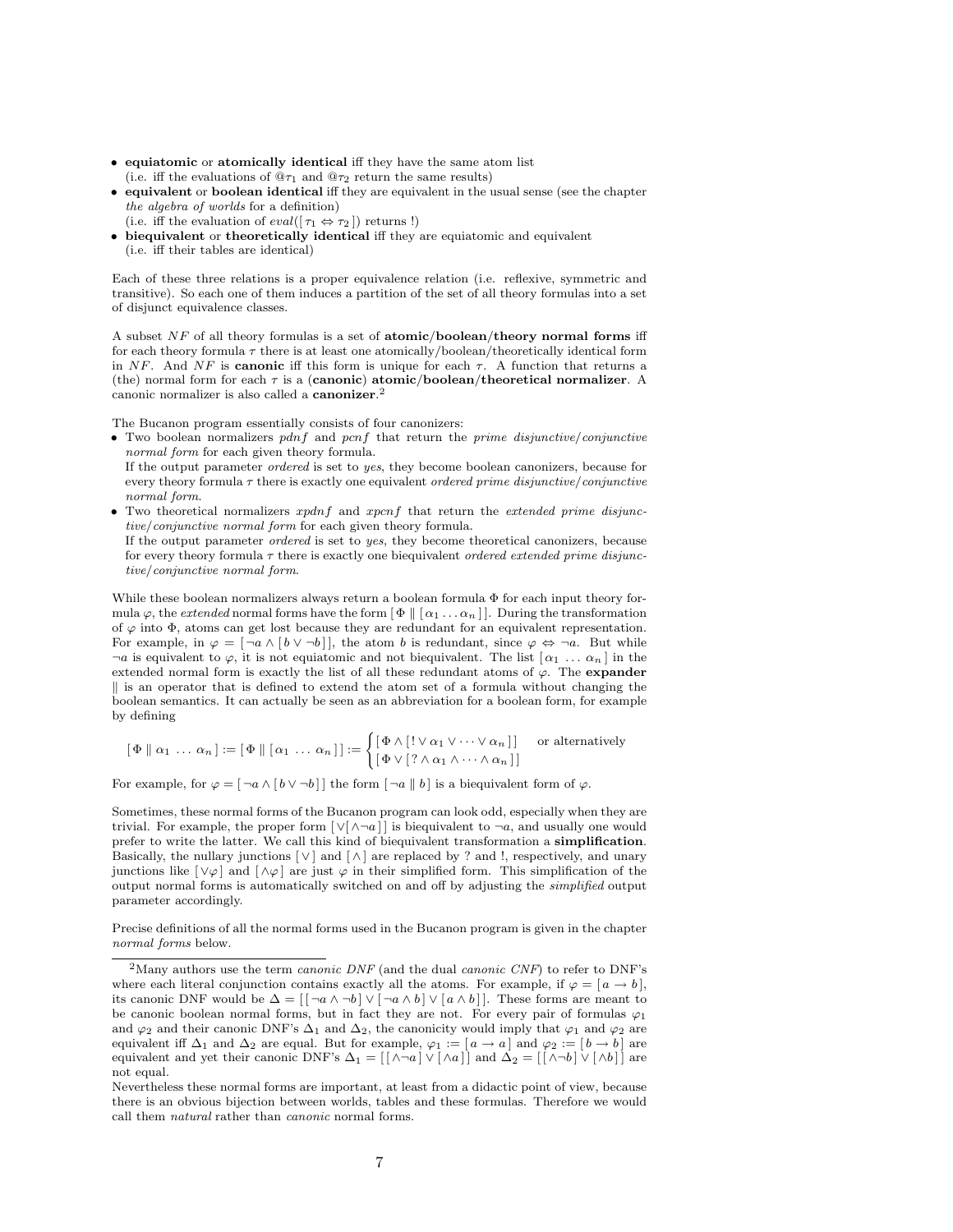- equiatomic or atomically identical iff they have the same atom list (i.e. iff the evaluations of  $@_{\tau_1}$  and  $@_{\tau_2}$  return the same results)
- equivalent or boolean identical iff they are equivalent in the usual sense (see the chapter the algebra of worlds for a definition)
	- (i.e. iff the evaluation of  $eval([\tau_1 \Leftrightarrow \tau_2])$  returns !)
- biequivalent or theoretically identical iff they are equiatomic and equivalent (i.e. iff their tables are identical)

Each of these three relations is a proper equivalence relation (i.e. reflexive, symmetric and transitive). So each one of them induces a partition of the set of all theory formulas into a set of disjunct equivalence classes.

A subset  $NF$  of all theory formulas is a set of atomic/boolean/theory normal forms iff for each theory formula  $\tau$  there is at least one atomically/boolean/theoretically identical form in NF. And NF is **canonic** iff this form is unique for each  $\tau$ . A function that returns a (the) normal form for each  $\tau$  is a (canonic) atomic/boolean/theoretical normalizer. A canonic normalizer is also called a canonizer. 2

The Bucanon program essentially consists of four canonizers:

• Two boolean normalizers pdnf and pcnf that return the prime disjunctive/conjunctive normal form for each given theory formula.

If the output parameter ordered is set to yes, they become boolean canonizers, because for every theory formula  $\tau$  there is exactly one equivalent *ordered prime disjunctive*/*conjunctive* normal form.

• Two theoretical normalizers  $xpdnf$  and  $xpcnf$  that return the *extended prime disjunc*tive/conjunctive normal form for each given theory formula.

If the output parameter ordered is set to yes, they become theoretical canonizers, because for every theory formula  $\tau$  there is exactly one biequivalent ordered extended prime disjunctive/conjunctive normal form.

While these boolean normalizers always return a boolean formula Φ for each input theory formula  $\varphi$ , the extended normal forms have the form  $[\Phi \nvert [\alpha_1 \dots \alpha_n]]$ . During the transformation of  $\varphi$  into  $\Phi$ , atoms can get lost because they are redundant for an equivalent representation. For example, in  $\varphi = [\neg a \wedge [b \vee \neg b]]$ , the atom b is redundant, since  $\varphi \Leftrightarrow \neg a$ . But while  $\neg a$  is equivalent to  $\varphi$ , it is not equiatomic and not biequivalent. The list  $\lceil \alpha_1 \ldots \alpha_n \rceil$  in the extended normal form is exactly the list of all these redundant atoms of  $\varphi$ . The **expander**  $\parallel$  is an operator that is defined to extend the atom set of a formula without changing the boolean semantics. It can actually be seen as an abbreviation for a boolean form, for example by defining

$$
\begin{bmatrix} \Phi \parallel \alpha_1 \ldots \alpha_n \end{bmatrix} := \begin{bmatrix} \Phi \parallel [\alpha_1 \ldots \alpha_n] \end{bmatrix} := \begin{cases} \begin{bmatrix} \Phi \wedge [\vdots \vee \alpha_1 \vee \cdots \vee \alpha_n] \end{bmatrix} \text{ or alternatively} \\ \begin{bmatrix} \Phi \vee [\vdots \wedge \alpha_1 \wedge \cdots \wedge \alpha_n] \end{bmatrix} \end{cases}
$$

For example, for  $\varphi = [\neg a \wedge [b \vee \neg b]]$  the form  $[\neg a \parallel b]$  is a biequivalent form of  $\varphi$ .

Sometimes, these normal forms of the Bucanon program can look odd, especially when they are trivial. For example, the proper form  $[\vee] \wedge \neg a]$  is biequivalent to  $\neg a$ , and usually one would prefer to write the latter. We call this kind of biequivalent transformation a simplification. Basically, the nullary junctions  $[\vee]$  and  $[\wedge]$  are replaced by ? and !, respectively, and unary junctions like  $[\vee \varphi]$  and  $[\wedge \varphi]$  are just  $\varphi$  in their simplified form. This simplification of the output normal forms is automatically switched on and off by adjusting the simplified output parameter accordingly.

Precise definitions of all the normal forms used in the Bucanon program is given in the chapter normal forms below.

<sup>&</sup>lt;sup>2</sup>Many authors use the term *canonic DNF* (and the dual *canonic CNF*) to refer to DNF's where each literal conjunction contains exactly all the atoms. For example, if  $\varphi = [a \rightarrow b],$ its canonic DNF would be  $\Delta = [ [\neg a \land \neg b] \lor [\neg a \land b] \lor [a \land b] ]$ . These forms are meant to be canonic boolean normal forms, but in fact they are not. For every pair of formulas  $\varphi_1$ and  $\varphi_2$  and their canonic DNF's  $\Delta_1$  and  $\Delta_2$ , the canonicity would imply that  $\varphi_1$  and  $\varphi_2$  are equivalent iff  $\Delta_1$  and  $\Delta_2$  are equal. But for example,  $\varphi_1 := [a \to a]$  and  $\varphi_2 := [b \to b]$  are equivalent and yet their canonic DNF's  $\Delta_1 = [[\wedge \neg a] \vee [\wedge a]]$  and  $\Delta_2 = [[\wedge \neg b] \vee [\wedge b]]$  are not equal.

Nevertheless these normal forms are important, at least from a didactic point of view, because there is an obvious bijection between worlds, tables and these formulas. Therefore we would call them natural rather than canonic normal forms.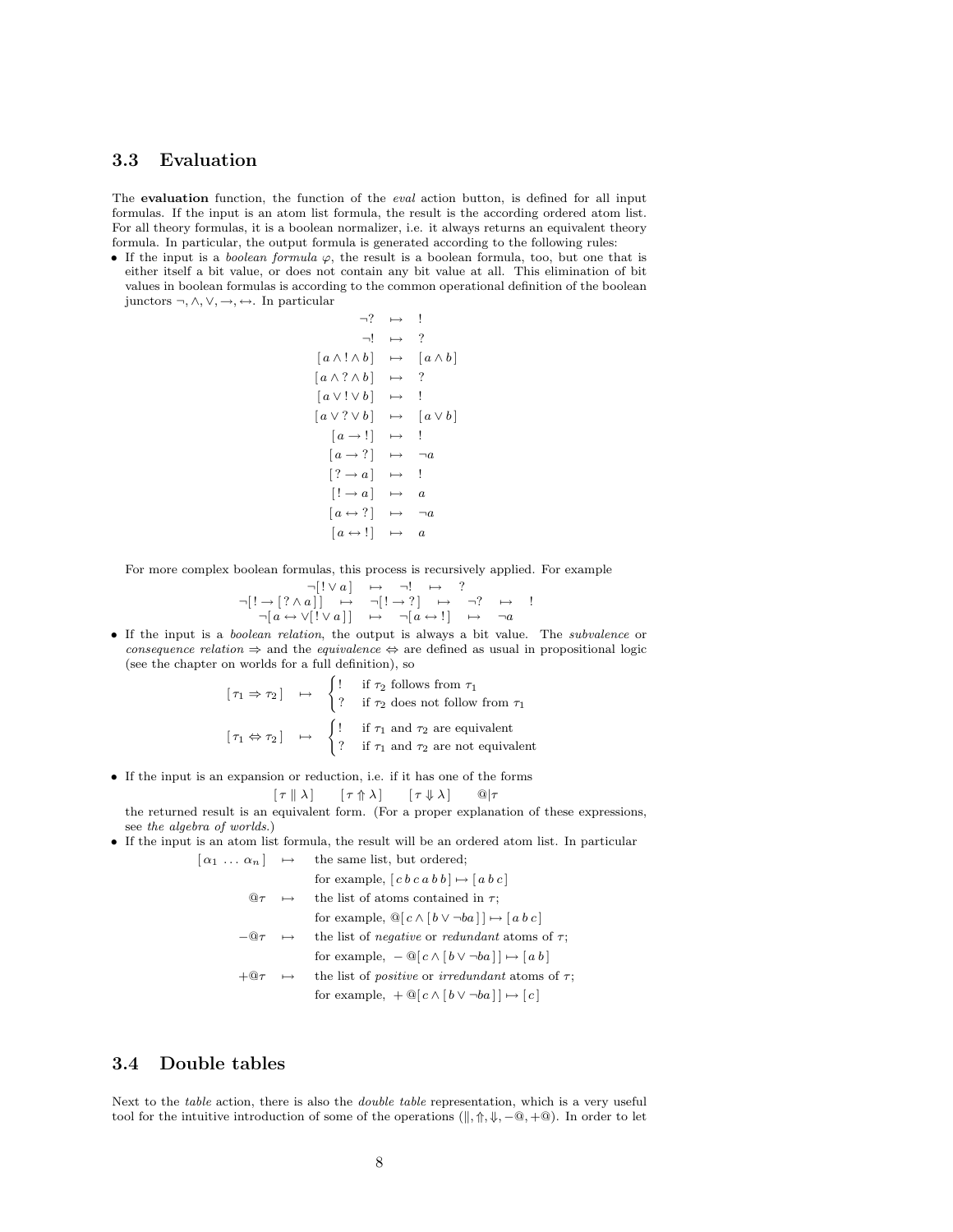#### 3.3 Evaluation

The evaluation function, the function of the *eval* action button, is defined for all input formulas. If the input is an atom list formula, the result is the according ordered atom list. For all theory formulas, it is a boolean normalizer, i.e. it always returns an equivalent theory formula. In particular, the output formula is generated according to the following rules:

• If the input is a *boolean formula*  $\varphi$ , the result is a boolean formula, too, but one that is either itself a bit value, or does not contain any bit value at all. This elimination of bit values in boolean formulas is according to the common operational definition of the boolean junctors  $\neg, \wedge, \vee, \rightarrow, \leftrightarrow.$  In particular

$$
\neg ? \rightarrow !
$$
\n
$$
\neg ! \rightarrow ?
$$
\n
$$
[a \land ! \land b] \rightarrow [a \land b]
$$
\n
$$
[a \land ? \land b] \rightarrow ?
$$
\n
$$
[a \lor ! \lor b] \rightarrow ?
$$
\n
$$
[a \lor ? \lor b] \rightarrow [a \lor b]
$$
\n
$$
[a \rightarrow !] \rightarrow !
$$
\n
$$
[a \rightarrow ?] \rightarrow \neg a
$$
\n
$$
[? \rightarrow a] \rightarrow a
$$
\n
$$
[a \leftrightarrow ?] \rightarrow \neg a
$$
\n
$$
[a \leftrightarrow ?] \rightarrow a
$$
\n
$$
[a \leftrightarrow !] \rightarrow a
$$

For more complex boolean formulas, this process is recursively applied. For example

$$
\neg[\cdot \lor a] \rightarrow \neg! \rightarrow ?
$$
\n
$$
\neg[\cdot \lor a]] \rightarrow \neg[ \cdot \to ?] \rightarrow \neg? \rightarrow !
$$
\n
$$
\neg[a \leftrightarrow \lor [\cdot \lor a]] \rightarrow \neg[a \leftrightarrow !] \rightarrow \neg a
$$

• If the input is a boolean relation, the output is always a bit value. The subvalence or consequence relation  $\Rightarrow$  and the equivalence  $\Leftrightarrow$  are defined as usual in propositional logic (see the chapter on worlds for a full definition), so

$$
\begin{aligned}\n[\tau_1 \Rightarrow \tau_2] &\mapsto \begin{cases}\n\vdots & \text{if } \tau_2 \text{ follows from } \tau_1 \\
\uparrow & \text{if } \tau_2 \text{ does not follow from } \tau_1\n\end{cases} \\
[\tau_1 \Leftrightarrow \tau_2] &\mapsto \begin{cases}\n\vdots & \text{if } \tau_1 \text{ and } \tau_2 \text{ are equivalent} \\
\uparrow & \text{if } \tau_1 \text{ and } \tau_2 \text{ are not equivalent}\n\end{cases}\n\end{aligned}
$$

• If the input is an expansion or reduction, i.e. if it has one of the forms

$$
[\tau \parallel \lambda] \qquad [\tau \Uparrow \lambda] \qquad [\tau \Downarrow \lambda] \qquad \textcircled{a}|\tau
$$

the returned result is an equivalent form. (For a proper explanation of these expressions, see the algebra of worlds.)

• If the input is an atom list formula, the result will be an ordered atom list. In particular  $[\alpha_1 \dots \alpha_n] \rightarrow$  the same list, but ordered;

|                       |           | for example, $[c b c a b b] \mapsto [a b c]$                               |
|-----------------------|-----------|----------------------------------------------------------------------------|
| $\omega_{\tau}$       | $\mapsto$ | the list of atoms contained in $\tau$ ;                                    |
|                       |           | for example, $\mathbb{Q}[c \wedge [b \vee \neg ba]] \mapsto [a \, b \, c]$ |
| $-@ \tau \rightarrow$ |           | the list of <i>negative</i> or <i>redundant</i> atoms of $\tau$ ;          |
|                       |           | for example, $-\mathbb{Q}[c \wedge [b \vee \neg ba]] \mapsto [ab]$         |
| $+\omega\tau$         | $\mapsto$ | the list of <i>positive</i> or <i>irredundant</i> atoms of $\tau$ ;        |
|                       |           | for example, $+ \mathbb{Q}[c \wedge [b \vee \neg ba]] \mapsto [c]$         |
|                       |           |                                                                            |

## 3.4 Double tables

Next to the *table* action, there is also the *double table* representation, which is a very useful tool for the intuitive introduction of some of the operations ( $\|\,\,\,\,\uparrow,\,\,\Downarrow,-\,\,\mathbb{Q},+\,\mathbb{Q}$ ). In order to let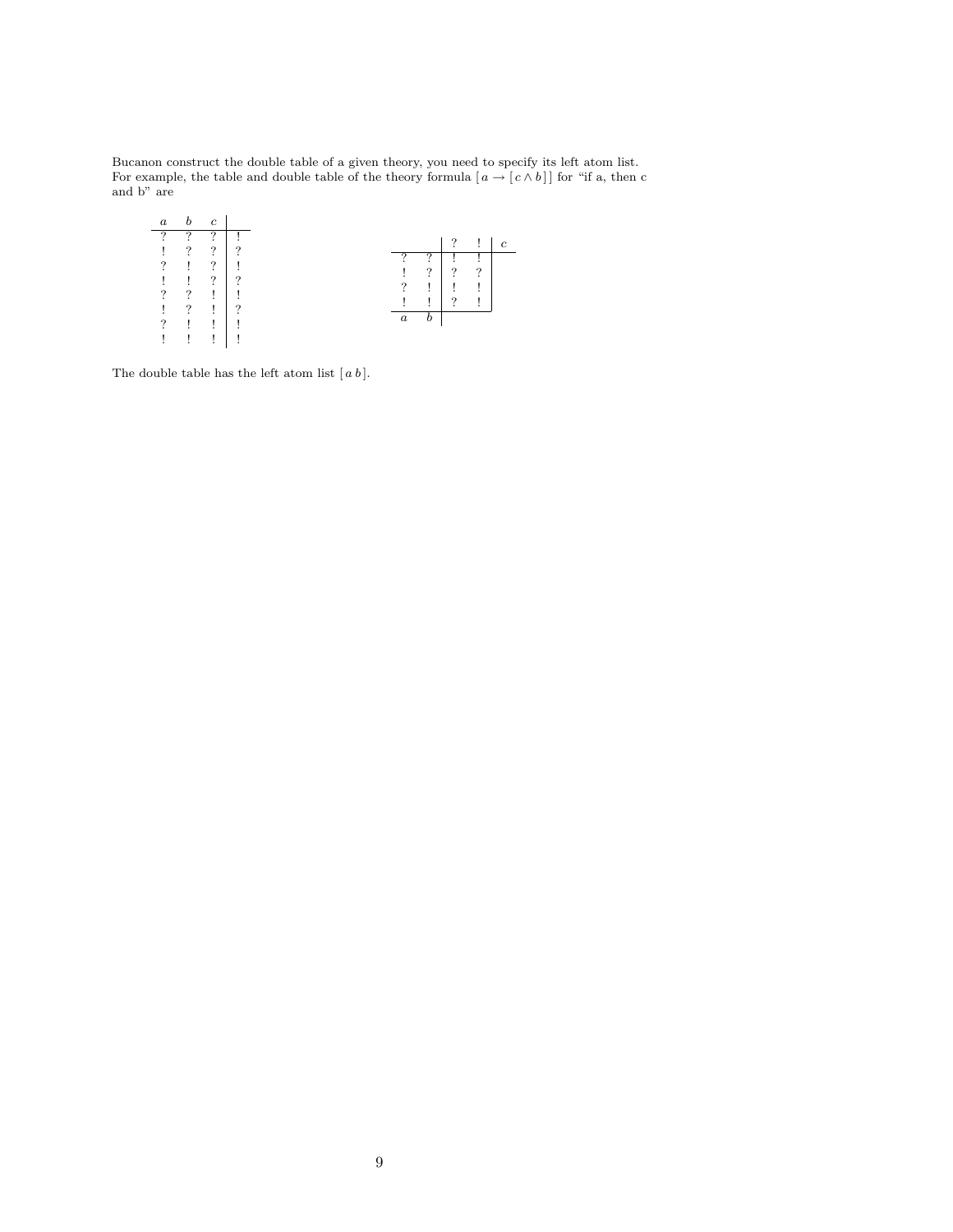Bucanon construct the double table of a given theory, you need to specify its left atom list. For example, the table and double table of the theory formula  $[a \rightarrow [c \wedge b]]$  for "if a, then c and b" are

| a.       |   | $\epsilon$     |          |  |  |                  |          |          |   |
|----------|---|----------------|----------|--|--|------------------|----------|----------|---|
| $\Omega$ | ŋ | $\Omega$       |          |  |  |                  |          | $\Omega$ |   |
|          | ? | $\overline{?}$ | റ        |  |  |                  | ឹ        |          |   |
| ?        |   | $\overline{?}$ |          |  |  |                  | $\Omega$ | ?        | ິ |
|          |   | $\overline{?}$ | $\Omega$ |  |  |                  |          |          |   |
| ?        | ? | L              |          |  |  | ?                |          |          |   |
|          | 7 | L              | っ        |  |  |                  |          | $\Omega$ |   |
| 7        |   | L              |          |  |  | $\boldsymbol{a}$ |          |          |   |
|          |   |                |          |  |  |                  |          |          |   |
|          |   |                |          |  |  |                  |          |          |   |

The double table has the left atom list  $[a b]$ .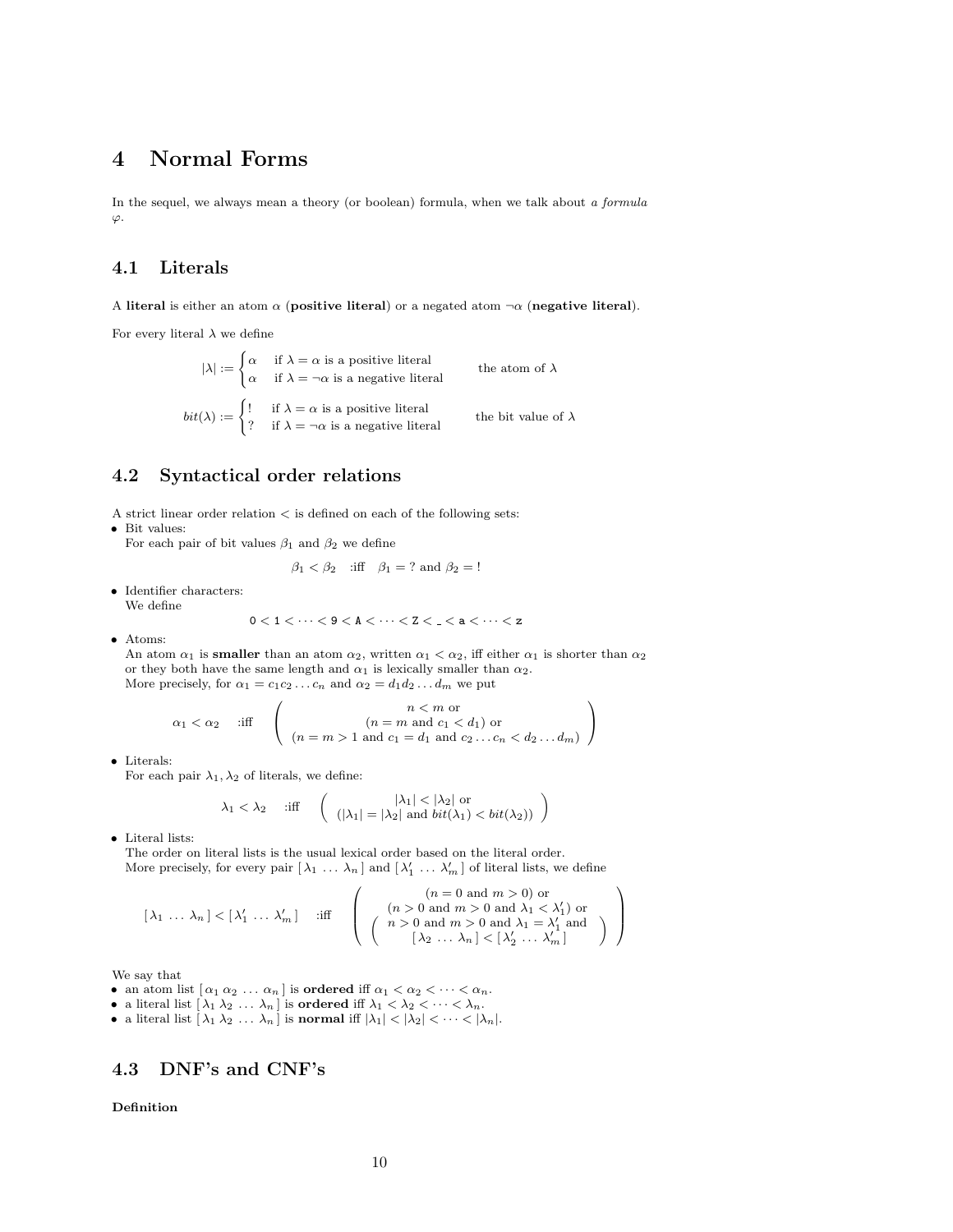# 4 Normal Forms

In the sequel, we always mean a theory (or boolean) formula, when we talk about a formula  $\varphi$ .

## 4.1 Literals

A literal is either an atom  $\alpha$  (positive literal) or a negated atom  $\neg \alpha$  (negative literal).

For every literal  $\lambda$  we define

 $|\lambda| := \begin{cases} \alpha & \text{if } \lambda = \alpha \text{ is a positive literal} \\ & \text{if } \lambda \end{cases}$  $\alpha$  if  $\lambda = \neg \alpha$  is a negative literal the atom of  $\lambda$  $bit(\lambda) := \begin{cases} 1 & \text{if } \lambda = \alpha \text{ is a positive literal} \\ 0 & \text{if } \lambda = \alpha \end{cases}$ ? if  $\lambda = \neg \alpha$  is a negative literal the bit value of  $\lambda$ 

## 4.2 Syntactical order relations

A strict linear order relation  $<$  is defined on each of the following sets:

• Bit values:

For each pair of bit values  $\beta_1$  and  $\beta_2$  we define

$$
\beta_1 < \beta_2 \quad \text{iff} \quad \beta_1 = ? \text{ and } \beta_2 = !
$$

• Identifier characters: We define

$$
0 < 1 < \cdots < 9 < A < \cdots < Z < \_ < a < \cdots < z
$$

• Atoms:

An atom  $\alpha_1$  is smaller than an atom  $\alpha_2$ , written  $\alpha_1 < \alpha_2$ , iff either  $\alpha_1$  is shorter than  $\alpha_2$ or they both have the same length and  $\alpha_1$  is lexically smaller than  $\alpha_2$ . More precisely, for  $\alpha_1 = c_1 c_2 \dots c_n$  and  $\alpha_2 = d_1 d_2 \dots d_m$  we put

$$
\alpha_1 < \alpha_2 \quad \text{ iff } \quad \left( \begin{array}{c} n < m \text{ or } \\ (n = m \text{ and } c_1 < d_1) \text{ or } \\ (n = m > 1 \text{ and } c_1 = d_1 \text{ and } c_2 \dots c_n < d_2 \dots d_m) \end{array} \right)
$$

• Literals:

For each pair  $\lambda_1, \lambda_2$  of literals, we define:

$$
\lambda_1 < \lambda_2 \quad \text{ iff } \quad \left( \begin{array}{c} |\lambda_1| < |\lambda_2| \text{ or } \\ (|\lambda_1| = |\lambda_2| \text{ and } bit(\lambda_1) < bit(\lambda_2) \end{array} \right)
$$

• Literal lists:

The order on literal lists is the usual lexical order based on the literal order. More precisely, for every pair  $[\lambda_1 \ldots \lambda_n]$  and  $[\lambda'_1 \ldots \lambda'_m]$  of literal lists, we define

$$
[\lambda_1 \ldots \lambda_n] < [\lambda'_1 \ldots \lambda'_m] \quad \text{ iff } \quad \left( \begin{array}{c} (n = 0 \text{ and } m > 0) \text{ or} \\ (n > 0 \text{ and } m > 0 \text{ and } \lambda_1 < \lambda'_1) \text{ or} \\ (n > 0 \text{ and } m > 0 \text{ and } \lambda_1 = \lambda'_1 \text{ and } \\ [\lambda_2 \ldots \lambda_n] < [\lambda'_2 \ldots \lambda'_m] \end{array} \right)
$$

We say that

- an atom list  $[\alpha_1 \alpha_2 \ldots \alpha_n]$  is **ordered** iff  $\alpha_1 < \alpha_2 < \cdots < \alpha_n$ .
- a literal list  $[\lambda_1 \lambda_2 \ldots \lambda_n]$  is ordered iff  $\lambda_1 < \lambda_2 < \cdots < \lambda_n$ .
- a literal list  $[\lambda_1 \lambda_2 \ldots \lambda_n]$  is normal iff  $|\lambda_1| < |\lambda_2| < \cdots < |\lambda_n|$ .

## 4.3 DNF's and CNF's

Definition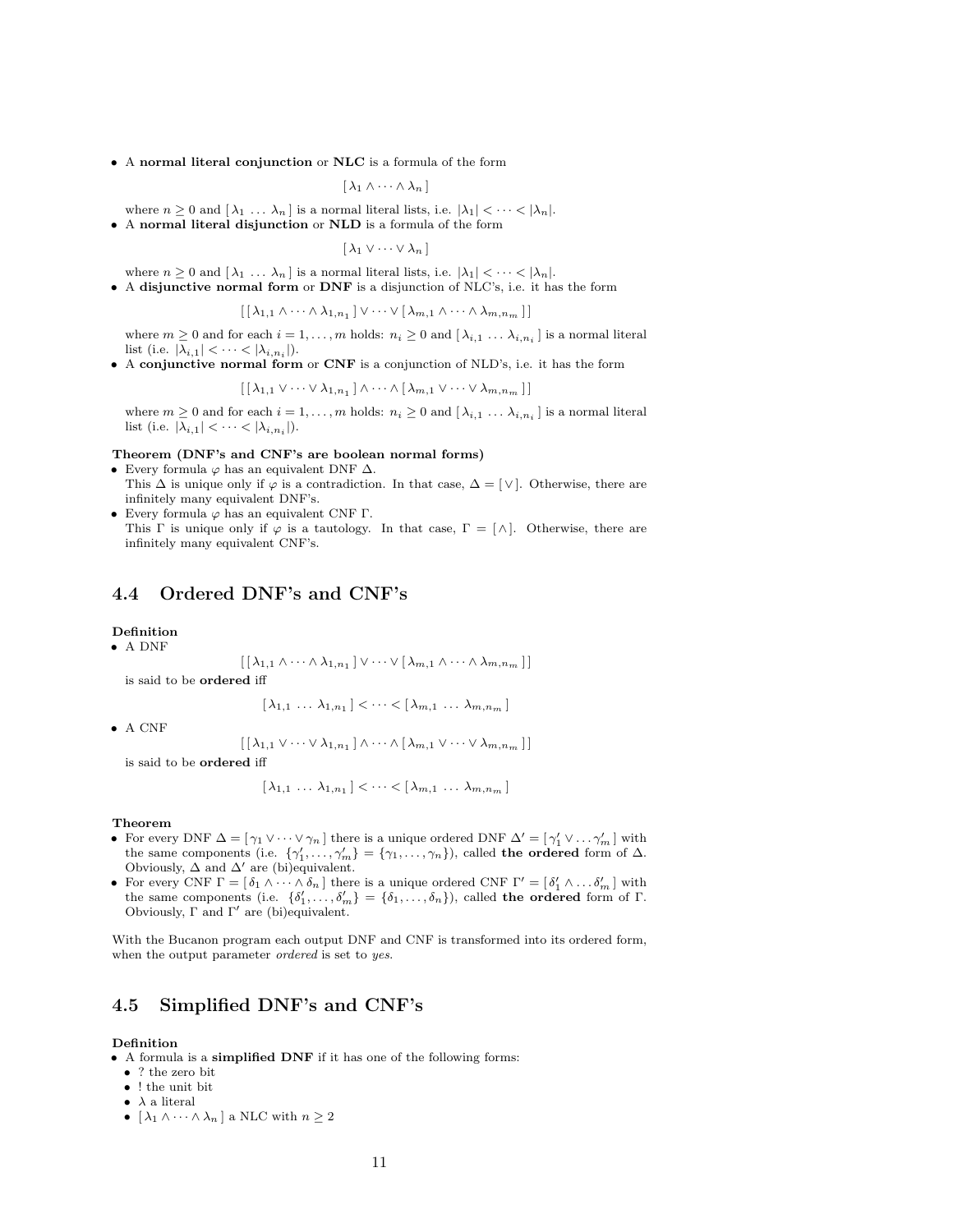• A normal literal conjunction or NLC is a formula of the form

 $[\lambda_1 \wedge \cdots \wedge \lambda_n]$ 

where  $n \geq 0$  and  $[\lambda_1 \dots \lambda_n]$  is a normal literal lists, i.e.  $|\lambda_1| < \dots < |\lambda_n|$ . • A normal literal disjunction or NLD is a formula of the form

 $[\lambda_1 \vee \cdots \vee \lambda_n]$ 

where  $n \geq 0$  and  $[\lambda_1 \ldots \lambda_n]$  is a normal literal lists, i.e.  $|\lambda_1| < \cdots < |\lambda_n|$ .

• A disjunctive normal form or DNF is a disjunction of NLC's, i.e. it has the form

$$
[\lambda_{1,1}\wedge\cdots\wedge\lambda_{1,n_1}]\vee\cdots\vee[\lambda_{m,1}\wedge\cdots\wedge\lambda_{m,n_m}]]
$$

where  $m \geq 0$  and for each  $i = 1, \ldots, m$  holds:  $n_i \geq 0$  and  $[\lambda_{i,1} \ldots \lambda_{i,n_i}]$  is a normal literal list (i.e.  $|\lambda_{i,1}| < \cdots < |\lambda_{i,n_i}|$ ).

• A conjunctive normal form or CNF is a conjunction of NLD's, i.e. it has the form

$$
[\lambda_{1,1} \vee \cdots \vee \lambda_{1,n_1}] \wedge \cdots \wedge [\lambda_{m,1} \vee \cdots \vee \lambda_{m,n_m}]]
$$

where  $m \geq 0$  and for each  $i = 1, ..., m$  holds:  $n_i \geq 0$  and  $[\lambda_{i,1} \dots \lambda_{i,n_i}]$  is a normal literal list (i.e.  $|\lambda_{i,1}| < \cdots < |\lambda_{i,n_i}|$ ).

#### Theorem (DNF's and CNF's are boolean normal forms)

- Every formula  $\varphi$  has an equivalent DNF  $\Delta$ .
- This  $\Delta$  is unique only if  $\varphi$  is a contradiction. In that case,  $\Delta = [\vee]$ . Otherwise, there are infinitely many equivalent DNF's. • Every formula  $\varphi$  has an equivalent CNF Γ.
- This Γ is unique only if  $\varphi$  is a tautology. In that case,  $\Gamma = [\wedge]$ . Otherwise, there are infinitely many equivalent CNF's.

## 4.4 Ordered DNF's and CNF's

#### Definition

$$
\bullet
$$
 A DNF

$$
[\lambda_{1,1} \wedge \cdots \wedge \lambda_{1,n_1}] \vee \cdots \vee [\lambda_{m,1} \wedge \cdots \wedge \lambda_{m,n_m}]]
$$

is said to be ordered iff

 $[\lambda_{1,1} \ldots \lambda_{1,n_1}] < \cdots < [\lambda_{m,1} \ldots \lambda_{m,n_m}]$ 

• A CNF

 $\left[ \lceil \lambda_{1,1} \vee \cdots \vee \lambda_{1,n_1} \rceil \wedge \cdots \wedge \lceil \lambda_{m,1} \vee \cdots \vee \lambda_{m,n_m} \rceil \right]$ 

is said to be ordered iff

$$
[\lambda_{1,1} \ldots \lambda_{1,n_1}] < \cdots < [\lambda_{m,1} \ldots \lambda_{m,n_m}]
$$

#### Theorem

- For every DNF  $\Delta = [\gamma_1 \vee \cdots \vee \gamma_n]$  there is a unique ordered DNF  $\Delta' = [\gamma_1' \vee \cdots \gamma_m']$  with the same components (i.e.  $\{\gamma'_1, \ldots, \gamma'_m\} = \{\gamma_1, \ldots, \gamma_n\}$ ), called the ordered form of  $\Delta$ . Obviously,  $\Delta$  and  $\Delta'$  are (bi)equivalent.
- For every CNF  $\Gamma = [\delta_1 \wedge \cdots \wedge \delta_n]$  there is a unique ordered CNF  $\Gamma' = [\delta'_1 \wedge \cdots \delta'_m]$  with the same components (i.e.  $\{\delta'_1,\ldots,\delta'_m\} = \{\delta_1,\ldots,\delta_n\}$ ), called the ordered form of Γ. Obviously,  $\Gamma$  and  $\Gamma'$  are (bi)equivalent.

With the Bucanon program each output DNF and CNF is transformed into its ordered form, when the output parameter *ordered* is set to yes.

## 4.5 Simplified DNF's and CNF's

#### Definition

- A formula is a simplified DNF if it has one of the following forms:
	- ? the zero bit
	- ! the unit bit
	- $\bullet\;$   $\lambda$  a literal
	- $[\lambda_1 \wedge \cdots \wedge \lambda_n]$  a NLC with  $n \geq 2$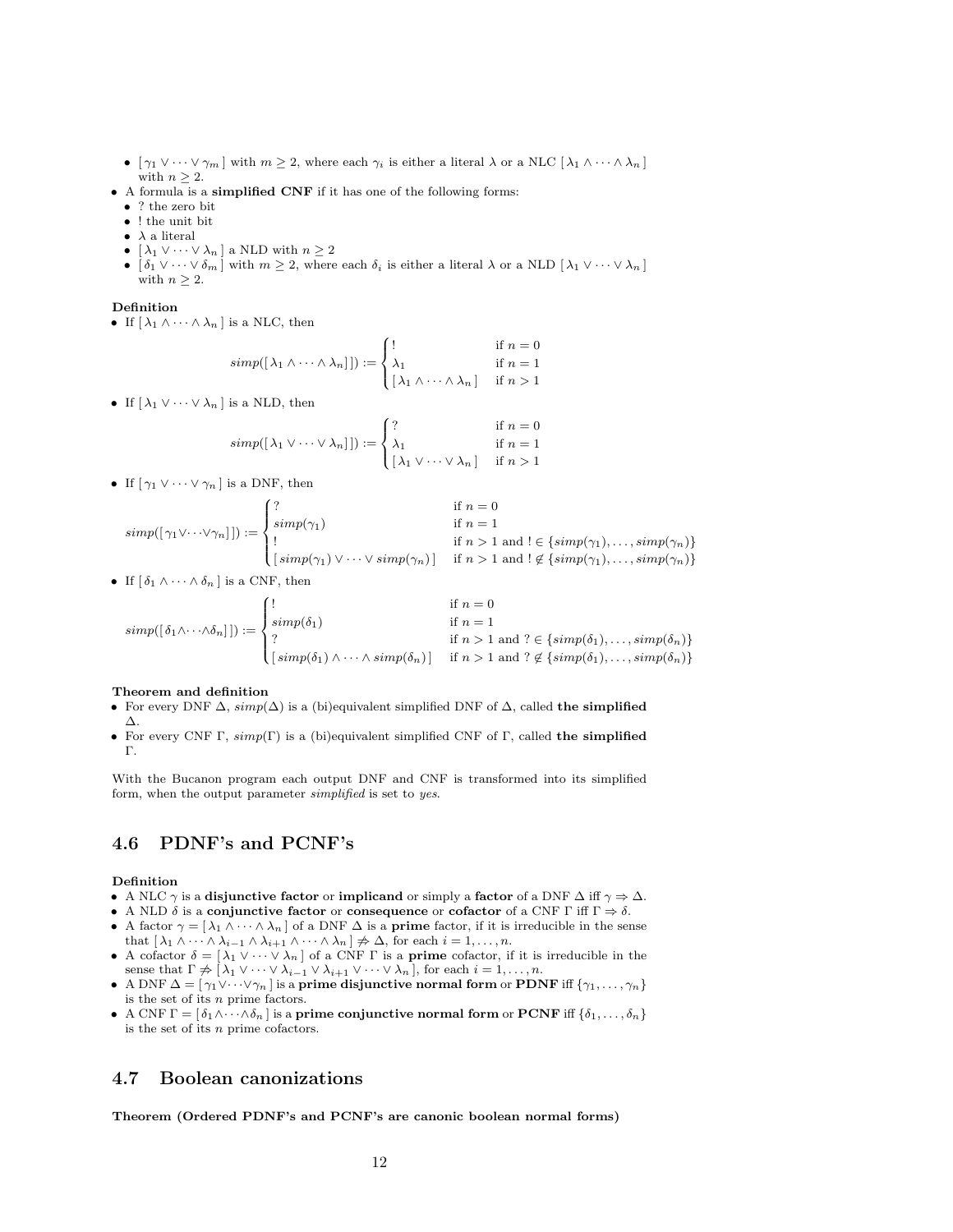- $[\gamma_1 \vee \cdots \vee \gamma_m]$  with  $m \geq 2$ , where each  $\gamma_i$  is either a literal  $\lambda$  or a NLC  $[\lambda_1 \wedge \cdots \wedge \lambda_n]$ with  $n \geq 2$ .
- A formula is a simplified CNF if it has one of the following forms:
	- ? the zero bit
	- ! the unit bit
	- $\lambda$  a literal
	- $[\lambda_1 \vee \cdots \vee \lambda_n]$  a NLD with  $n \geq 2$
	- $\delta_1 \vee \cdots \vee \delta_m$  with  $m \geq 2$ , where each  $\delta_i$  is either a literal  $\lambda$  or a NLD  $[\lambda_1 \vee \cdots \vee \lambda_n]$ with  $n \geq 2$ .

#### Definition

• If  $[\lambda_1 \wedge \cdots \wedge \lambda_n]$  is a NLC, then

$$
simp([\lambda_1 \wedge \cdots \wedge \lambda_n]]) := \begin{cases} ! & \text{if } n = 0 \\ \lambda_1 & \text{if } n = 1 \\ [\lambda_1 \wedge \cdots \wedge \lambda_n] & \text{if } n > 1 \end{cases}
$$

• If  $[\lambda_1 \vee \cdots \vee \lambda_n]$  is a NLD, then

$$
simp([\lambda_1 \vee \cdots \vee \lambda_n]]) := \begin{cases} ? & \text{if } n = 0 \\ \lambda_1 & \text{if } n = 1 \\ [\lambda_1 \vee \cdots \vee \lambda_n] & \text{if } n > 1 \end{cases}
$$

• If  $[\gamma_1 \vee \cdots \vee \gamma_n]$  is a DNF, then

$$
simp([\gamma_1 \vee \cdots \vee \gamma_n]) := \begin{cases} ? & \text{if } n = 0 \\ simp(\gamma_1) & \text{if } n = 1 \\ \vdots & \text{if } n > 1 \text{ and } ! \in \{simp(\gamma_1), \dots, simp(\gamma_n)\} \\ \big[ \operatorname{simp}(\gamma_1) \vee \cdots \vee \operatorname{simp}(\gamma_n) \big] & \text{if } n > 1 \text{ and } ! \notin \{simp(\gamma_1), \dots, simp(\gamma_n)\} \end{cases}
$$

• If  $\lceil \delta_1 \wedge \cdots \wedge \delta_n \rceil$  is a CNF, then

$$
simp([\delta_1 \wedge \cdots \wedge \delta_n]) := \begin{cases} ! & \text{if } n = 0 \\ \text{simp}(\delta_1) & \text{if } n = 1 \\ ? & \text{if } n > 1 \text{ and } ? \in \{\text{simp}(\delta_1), \dots, \text{simp}(\delta_n)\} \\ \text{[simp}(\delta_1) \wedge \cdots \wedge \text{simp}(\delta_n)) & \text{if } n > 1 \text{ and } ? \notin \{\text{simp}(\delta_1), \dots, \text{simp}(\delta_n)\} \end{cases}
$$

#### Theorem and definition

- For every DNF  $\Delta$ ,  $simp(\Delta)$  is a (bi)equivalent simplified DNF of  $\Delta$ , called the simplified ∆.
- For every CNF Γ,  $simp(\Gamma)$  is a (bi)equivalent simplified CNF of Γ, called the simplified Γ.

With the Bucanon program each output DNF and CNF is transformed into its simplified form, when the output parameter simplified is set to yes.

## 4.6 PDNF's and PCNF's

#### Definition

- A NLC  $\gamma$  is a disjunctive factor or implicand or simply a factor of a DNF  $\Delta$  iff  $\gamma \Rightarrow \Delta$ .
- A NLD  $\delta$  is a conjunctive factor or consequence or cofactor of a CNF  $\Gamma$  iff  $\Gamma \Rightarrow \delta$ .
- A factor  $\gamma = [\lambda_1 \wedge \cdots \wedge \lambda_n]$  of a DNF  $\Delta$  is a **prime** factor, if it is irreducible in the sense that  $[\lambda_1 \wedge \cdots \wedge \lambda_{i-1} \wedge \lambda_{i+1} \wedge \cdots \wedge \lambda_n] \neq \Delta$ , for each  $i = 1, \ldots, n$ .
- A cofactor  $\delta = [\lambda_1 \vee \cdots \vee \lambda_n]$  of a CNF  $\Gamma$  is a **prime** cofactor, if it is irreducible in the sense that  $\Gamma \not\Rightarrow \big[\lambda_1 \vee \cdots \vee \lambda_{i-1} \vee \lambda_{i+1} \vee \cdots \vee \lambda_n\big]$ , for each  $i = 1, \ldots, n$ .
- A DNF  $\Delta = [\gamma_1 \vee \cdots \vee \gamma_n]$  is a prime disjunctive normal form or PDNF iff  $\{\gamma_1, \ldots, \gamma_n\}$ is the set of its  $\boldsymbol{n}$  prime factors.
- A CNF  $\Gamma = [\delta_1 \wedge \cdots \wedge \delta_n]$  is a prime conjunctive normal form or PCNF iff  $\{\delta_1, \ldots, \delta_n\}$ is the set of its n prime cofactors.

## 4.7 Boolean canonizations

Theorem (Ordered PDNF's and PCNF's are canonic boolean normal forms)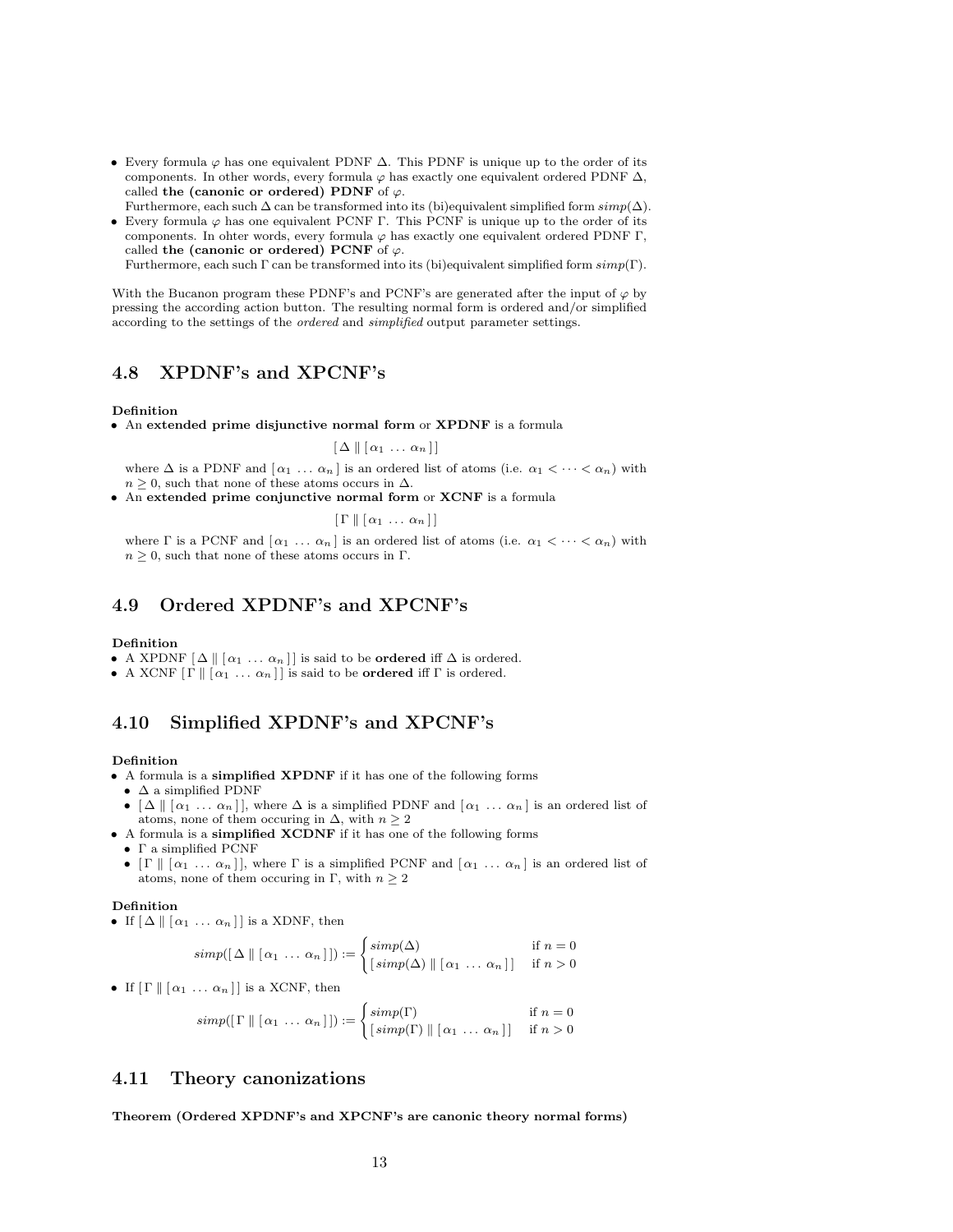- Every formula  $\varphi$  has one equivalent PDNF  $\Delta$ . This PDNF is unique up to the order of its components. In other words, every formula  $\varphi$  has exactly one equivalent ordered PDNF  $\Delta$ , called the (canonic or ordered) PDNF of  $\varphi$ .
- Furthermore, each such  $\Delta$  can be transformed into its (bi)equivalent simplified form  $simp(\Delta)$ . • Every formula  $\varphi$  has one equivalent PCNF Γ. This PCNF is unique up to the order of its
- components. In ohter words, every formula  $\varphi$  has exactly one equivalent ordered PDNF Γ, called the (canonic or ordered) PCNF of  $\varphi$ .

Furthermore, each such Γ can be transformed into its (bi)equivalent simplified form simp(Γ).

With the Bucanon program these PDNF's and PCNF's are generated after the input of  $\varphi$  by pressing the according action button. The resulting normal form is ordered and/or simplified according to the settings of the ordered and simplified output parameter settings.

## 4.8 XPDNF's and XPCNF's

#### Definition

• An extended prime disjunctive normal form or XPDNF is a formula

 $\left[ \Delta \right] \left[ \alpha_1 \ldots \alpha_n \right]$ 

where  $\Delta$  is a PDNF and  $\lceil \alpha_1 \ldots \alpha_n \rceil$  is an ordered list of atoms (i.e.  $\alpha_1 < \cdots < \alpha_n$ ) with  $n \geq 0$ , such that none of these atoms occurs in  $\Delta$ .

• An extended prime conjunctive normal form or XCNF is a formula

 $\left[ \Gamma \parallel [\alpha_1 \ldots \alpha_n] \right]$ 

where  $\Gamma$  is a PCNF and  $\lceil \alpha_1 \ldots \alpha_n \rceil$  is an ordered list of atoms (i.e.  $\alpha_1 < \cdots < \alpha_n$ ) with  $n \geq 0$ , such that none of these atoms occurs in Γ.

## 4.9 Ordered XPDNF's and XPCNF's

#### Definition

- A XPDNF  $[\Delta \mid \alpha_1 \ldots \alpha_n]$  is said to be **ordered** iff  $\Delta$  is ordered.
- A XCNF  $[\Gamma \ || \ \alpha_1 \ ... \ \alpha_n]$  is said to be **ordered** iff  $\Gamma$  is ordered.

## 4.10 Simplified XPDNF's and XPCNF's

#### Definition

- A formula is a simplified XPDNF if it has one of the following forms
- $\bullet~\Delta$  a simplified PDNF
- $[\Delta \mid [\alpha_1 \ldots \alpha_n] ]$ , where  $\Delta$  is a simplified PDNF and  $[\alpha_1 \ldots \alpha_n]$  is an ordered list of atoms, none of them occuring in  $\Delta$ , with  $n \geq 2$
- A formula is a simplified XCDNF if it has one of the following forms
	- Γ a simplified PCNF
	- [ $\Gamma \parallel [\alpha_1 \ldots \alpha_n]$ ], where  $\Gamma$  is a simplified PCNF and  $[\alpha_1 \ldots \alpha_n]$  is an ordered list of atoms, none of them occuring in Γ, with  $n \geq 2$

#### Definition

• If  $[\Delta \mid \alpha_1 \ldots \alpha_n]$  is a XDNF, then

$$
simp([\Delta \parallel [\alpha_1 \ldots \alpha_n]]) := \begin{cases} simp(\Delta) & \text{if } n = 0 \\ [simp(\Delta) \parallel [\alpha_1 \ldots \alpha_n]] & \text{if } n > 0 \end{cases}
$$

• If  $[\Gamma \parallel [\alpha_1 \ldots \alpha_n]]$  is a XCNF, then

$$
simp([\Gamma \ || [\alpha_1 \ ... \ \alpha_n]]) := \begin{cases} simp(\Gamma) & \text{if } n = 0 \\ [simp(\Gamma) \ || [\alpha_1 \ ... \ \alpha_n]] & \text{if } n > 0 \end{cases}
$$

### 4.11 Theory canonizations

Theorem (Ordered XPDNF's and XPCNF's are canonic theory normal forms)